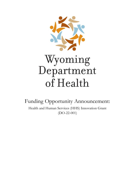

Funding Opportunity Announcement: Health and Human Services (HHS) Innovation Grant (DO-22-001)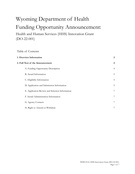# Wyoming Department of Health Funding Opportunity Announcement:

Health and Human Services (HHS) Innovation Grant (DO-22-001)

Table of Contents

|                                  | 2<br>1. Overview Information                    |                |  |
|----------------------------------|-------------------------------------------------|----------------|--|
| 2. Full Text of the Announcement |                                                 |                |  |
|                                  | A. Funding Opportunity Description              | $\overline{4}$ |  |
|                                  | B. Award Information                            | 5              |  |
|                                  | C. Eligibility Information                      | 5              |  |
|                                  | D. Application and Submission Information       | 5              |  |
|                                  | E. Application Review and Selection Information | 7              |  |
|                                  | F. Award Administration Information             | 7              |  |
|                                  | G. Agency Contacts                              | 7              |  |
|                                  | H. Right to Amend or Withdraw                   | 7              |  |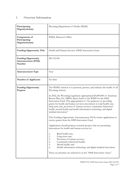# 1. Overview Information

| Participating<br>Organization(s)                           | Wyoming Department of Health (WDH)                                                                                                                                                                                                                                                                                                                                                                                                                                                                                                                                                                                                                                                                                                                                                                                                                                                                                                                                                                                                                                                                             |
|------------------------------------------------------------|----------------------------------------------------------------------------------------------------------------------------------------------------------------------------------------------------------------------------------------------------------------------------------------------------------------------------------------------------------------------------------------------------------------------------------------------------------------------------------------------------------------------------------------------------------------------------------------------------------------------------------------------------------------------------------------------------------------------------------------------------------------------------------------------------------------------------------------------------------------------------------------------------------------------------------------------------------------------------------------------------------------------------------------------------------------------------------------------------------------|
| Components of<br>Participating<br>Organization(s)          | WDH, Director's Office                                                                                                                                                                                                                                                                                                                                                                                                                                                                                                                                                                                                                                                                                                                                                                                                                                                                                                                                                                                                                                                                                         |
| <b>Funding Opportunity Title</b>                           | Health and Human Services (HHS) Innovation Grant                                                                                                                                                                                                                                                                                                                                                                                                                                                                                                                                                                                                                                                                                                                                                                                                                                                                                                                                                                                                                                                               |
| <b>Funding Opportunity</b><br>Announcement (FOA)<br>Number | DO-22-001                                                                                                                                                                                                                                                                                                                                                                                                                                                                                                                                                                                                                                                                                                                                                                                                                                                                                                                                                                                                                                                                                                      |
| <b>Announcement Type</b>                                   | <b>New</b>                                                                                                                                                                                                                                                                                                                                                                                                                                                                                                                                                                                                                                                                                                                                                                                                                                                                                                                                                                                                                                                                                                     |
| <b>Number of Applicants</b>                                | No limit                                                                                                                                                                                                                                                                                                                                                                                                                                                                                                                                                                                                                                                                                                                                                                                                                                                                                                                                                                                                                                                                                                       |
| <b>Funding Opportunity</b><br>Purpose                      | The WDH's mission is to promote, protect, and enhance the health of all<br>Wyoming citizens.<br>In 2022, the Wyoming Legislature appropriated \$5,000,000 of American<br>Rescue Plan Act (ARPA) direct funds to the WDH for the HHS<br>Innovation Fund. This appropriation is "for purposes of providing<br>grants for health and human services innovations in rural health care,<br>long-term care, provision of human services, community behavioral<br>health, mental health and health information technology and digital<br>medical innovation."<br>This Funding Opportunity Announcement (FOA) invites applications to<br>receive grants from the HHS Innovation Fund.<br>Applications should propose research projects that test promising<br>innovations for health and human services in:<br>Rural health care;<br>1.<br>2.<br>Long-term care;<br>3.<br>Provision of human services;<br>Community behavioral health;<br>4.<br>5.<br>Mental health; and<br>Health information technology and digital medical innovation.<br>6.<br>These six priorities are referred to as the "HHS Innovation Areas." |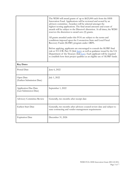|                                                       | The WDH will award grants of up to \$625,000 each from the HHS<br>Innovation Fund. Applications will be reviewed and scored by an<br>advisory committee. Awardees will be selected amongst the<br>highest-scoring applications. The final award amounts and count of<br>awards will be subject to the Director's discretion. At all times, the WDH<br>reserves the discretion to award zero (0) grants.<br>All grants awarded under this FOA are subject to the terms and<br>conditions imposed upon the Coronavirus State and Local Fiscal<br>Recovery Funds (SLFRF) program under ARPA.<br>Before applying, applicants are encouraged to consult the SLFRF final<br>rule at 35 C.F.R. Part 35 (link here), as well as guidance issued by the U.S.<br>Department of the Treasury (link here). Each applicant will be required<br>to establish how their project qualifies as an eligible use of SLFRF funds. |  |  |
|-------------------------------------------------------|---------------------------------------------------------------------------------------------------------------------------------------------------------------------------------------------------------------------------------------------------------------------------------------------------------------------------------------------------------------------------------------------------------------------------------------------------------------------------------------------------------------------------------------------------------------------------------------------------------------------------------------------------------------------------------------------------------------------------------------------------------------------------------------------------------------------------------------------------------------------------------------------------------------|--|--|
| <b>Key Dates</b>                                      |                                                                                                                                                                                                                                                                                                                                                                                                                                                                                                                                                                                                                                                                                                                                                                                                                                                                                                               |  |  |
| Posted Date                                           | June 6, 2022                                                                                                                                                                                                                                                                                                                                                                                                                                                                                                                                                                                                                                                                                                                                                                                                                                                                                                  |  |  |
| Open Date<br>(Earliest Submission Date)               | July 1, 2022                                                                                                                                                                                                                                                                                                                                                                                                                                                                                                                                                                                                                                                                                                                                                                                                                                                                                                  |  |  |
| <b>Application Due Date</b><br>(Last Submission Date) | September 1, 2022                                                                                                                                                                                                                                                                                                                                                                                                                                                                                                                                                                                                                                                                                                                                                                                                                                                                                             |  |  |
| <b>Advisory Committee Review</b>                      | Generally, two months after receipt date                                                                                                                                                                                                                                                                                                                                                                                                                                                                                                                                                                                                                                                                                                                                                                                                                                                                      |  |  |
| <b>Earliest Start Date</b>                            | Generally, two months after advisory council review date and subject to<br>state contracting and vendor management requirements                                                                                                                                                                                                                                                                                                                                                                                                                                                                                                                                                                                                                                                                                                                                                                               |  |  |
| <b>Expiration Date</b>                                | December 31, 2026                                                                                                                                                                                                                                                                                                                                                                                                                                                                                                                                                                                                                                                                                                                                                                                                                                                                                             |  |  |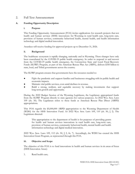# 2. Full Text Announcement

#### **A. Funding Opportunity Description**

#### **i. Purpose**

This Funding Opportunity Announcement (FOA) invites applications for research projects that test health and human services (HHS) innovations for Wyoming in rural health care, long-term care, provision of human services, community behavioral health, mental health, and health information technology and digital medical innovation.

Awardees will receive funding for approved projects up to December 31, 2026.

#### **ii. Background**

The healthcare ecosystem is rapidly changing, nationally and in Wyoming. These changes have only been exacerbated by the COVID-19 public health emergency. In order to respond to and recover from the COVID-19 public health emergency, the Coronavirus State and Local Fiscal Recovery Funds (SLFRF) Program, as part of the American Rescue Plan Act (ARPA), delivers \$350 billion to state, local, and Tribal governments across the country.

The SLFRF program ensures that governments have the resources needed to:

- Fight the pandemic and support families and businesses struggling with its public health and economic impacts.
- Maintain vital public services, even amid declines in revenue.
- Build a strong, resilient, and equitable recovery by making investments that support long-term growth and opportunity.

During the 2022 Budget Session of the Wyoming Legislature, the Legislature appropriated funds from the SLFRF Program directly to state agencies for various purposes. *See* 2022 Wyo. Sess. Laws 109 (ch. 50). The Legislature refers to these funds as American Rescue Plan Direct (ARPD) appropriations.

This FOA regards the \$5,000,000 ARPD appropriation to the Wyoming Department of Health (WDH) for the HHS Innovation Fund. *See* 2022 Wyo. Sess. Laws 109, 110 (ch. 50, § 2). The Legislature directed:

This appropriation to the department of health is for purposes of providing grants for health and human services innovations in rural health care, long-term care, provision of human services, community behavioral health, mental health and health information technology and digital medical innovation.

2022 Wyo. Sess. Laws 109, 112 (ch. 50, § 2, fn. 7). Accordingly, the WDH has created the HHS Innovation Grant Program, as represented through this FOA.

#### **iii. Objective and Scope**

The objective of this FOA is to fund innovations in health and human services in six areas of focus (HHS Innovation Areas):

1. Rural health care;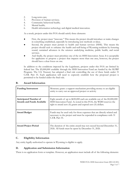- 2. Long-term care;
- 3. Provision of human services;
- 4. Community behavioral health;
- 5. Mental health;
- 6. Health information technology and digital medical innovation.

As a result, projects under this FOA should satisfy three elements:

- First, the project must "innovate." This means the project should introduce or make changes in something established, especially by introducing new methods or ideas.
- Second, the project must pertain to health and human services (HHS). This means the project should seek to enhance the health and well-being of Wyoming residents by fostering sound, sustained advances in the sciences underlying medicine, public health, and social services.
- And finally, the project must prioritize one of the six HHS Innovation Areas. It is acceptable for applicants to propose a project that impacts more than one area, however, the project should have a clear focus on one.

In addition to the conditions imposed by the Legislature, projects under this FOA are limited by federal law. The \$5,000,000 available through the HHS Innovation Fund are funded by the SLFRF Program. The U.S. Treasury has adopted a final rule controlling the use of these funds under 31 C.F.R. Part 35. Each application will need to expressly establish how the proposed project is permitted to be funded under the final rule.

| <b>Funding Instrument</b>                                         | Monetary grant: a support mechanism providing money to an eligible<br>entity to carry out an approved project or activity                                                                                   |  |  |
|-------------------------------------------------------------------|-------------------------------------------------------------------------------------------------------------------------------------------------------------------------------------------------------------|--|--|
| <b>Anticipated Number of</b><br><b>Awards and Funds Available</b> | Eight awards of up to \$650,000 each are available out of the \$5,000,000<br>HHS Innovation Fund. As noted in this FOA, the WDH reserves the<br>right to award zero (0) grants and expend zero (0) dollars. |  |  |
| <b>Award Budget</b>                                               | Funds may be used only for those expenses that are directly related and<br>necessary to the project and must be expended in compliance with 31<br>C.F.R. Part 35.                                           |  |  |
| <b>Award Project Period</b>                                       | The duration of the entire award may not exceed beyond December 31,<br>2026. All funds must be spent by December 31, 2026.                                                                                  |  |  |

#### **B. Award Information**

#### **C. Eligibility Information**

Any entity legally-authorized to operate in Wyoming is eligible to apply.

#### **D. Application and Submission Information**

There is no application form or template. However, an application must include all of the following elements: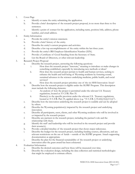- 1. Cover Page
	- a. Identify or name the entity submitting the application.
	- b. Provide a brief description of the research project proposal, in no more than three to five sentences.
	- c. Identify a point of contact for the application, including name, position/title, address, phone number, and email address.
- 2. Entity Information
	- a. Provide the entity's mission statement.
	- b. Provide a brief history of the entity.
	- c. Describe the entity's current programs and activities.
	- d. Describe a few top accomplishments of the entity within the last three years.
	- e. Provide the entity's IRS Employer Identification Number (EIN).
	- f. Provide a Certificate of Good Standing from the Secretary of State.
	- g. List the Board of Directors, or other relevant leadership.
- 3. Research Project Proposal
	- a. Describe the research project, answering the following questions:
		- i. How does the research project "innovate," meaning to introduce or make changes in something established, especially by introducing new methods or ideas?
		- ii. How does the research project pertain to health and human services, seeking to enhance the health and well-being of Wyoming residents by fostering sound, sustained advances in the sciences underlying medicine, public health, and social services?
		- iii. How does the research project prioritize one of the six HHS Innovation Areas?
	- b. Describe how the research project is eligible under the SLFRF Program. This description must include the following elements:
		- i. An analysis of how the project is permitted under the relevant U.S. Treasury regulations, located at 31 C.F.R. Part 35.
		- ii. Pincite(s) to the specific provision under the relevant U.S. Treasury regulations, located at 31 C.F.R. Part 35, applied above (e.g. "31 C.F.R. § 35.6(b)(3)(ii)(11)(i)").
	- c. Describe how the innovation underlying the research project is scalable and can be adopted by others.
	- d. Describe the Wyoming population(s) impacted by the research project and underlying innovation.
	- e. Describe all participants, users, clients, and other Wyoming residents who will be involved in or impacted by the research project.
	- f. Describe any partners in the research project, including the partner's role and the relationship with them.
	- g. Identify the staff and leadership who will be involved in the research project and provide their resume(s).
	- h. Provide a detailed timeline of the research project that shows major milestones.
	- i. Describe the budget for the research project, including funding sources, allocations, and any relevant restrictions on the use of funds – outside of the SLFRF program. Attach supporting documentation as appropriate.
	- j. Describe the plan for the financial sustainability of the research project or underlying innovation after the grant award has been exhausted.
- 4. Evaluation Information
	- a. Describe the desired outcomes and how these will be measured over time.
	- b. Describe the evaluation design, including the data collection and statistical methodologies that might be employed to estimate effects.